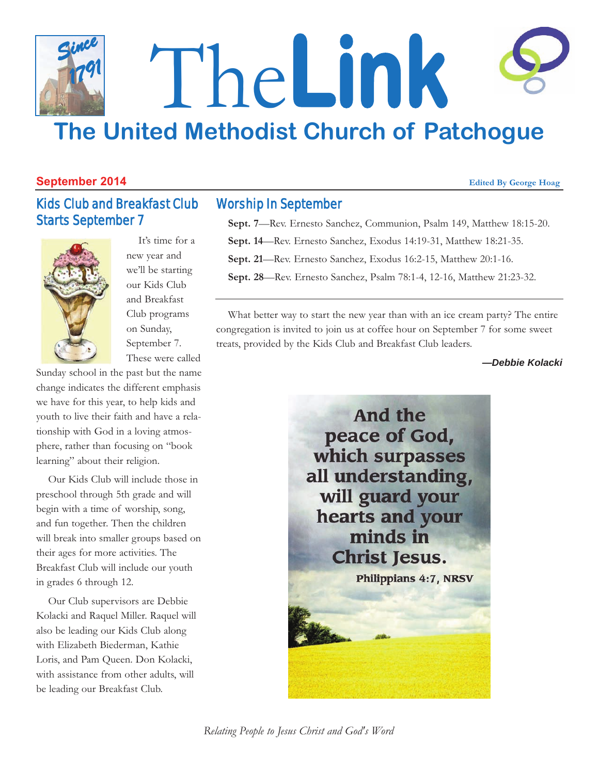### The**Link The United Methodist Church of Patchogue** *Since 1791*

#### **September 2014** *Edited By George Hoag* **<b>***Edited By George Hoag*

Starts September 7

Kids Club and Breakfast Club

#### Worship In September

**Sept. 7**—Rev. Ernesto Sanchez, Communion, Psalm 149, Matthew 18:15-20.

**Sept. 14**—Rev. Ernesto Sanchez, Exodus 14:19-31, Matthew 18:21-35.

**Sept. 21**—Rev. Ernesto Sanchez, Exodus 16:2-15, Matthew 20:1-16.

**Sept. 28**—Rev. Ernesto Sanchez, Psalm 78:1-4, 12-16, Matthew 21:23-32.

What better way to start the new year than with an ice cream party? The entire congregation is invited to join us at coffee hour on September 7 for some sweet treats, provided by the Kids Club and Breakfast Club leaders.

*—Debbie Kolacki*



on Sunday, September 7. These were called Sunday school in the past but the name change indicates the different emphasis we have for this year, to help kids and youth to live their faith and have a relationship with God in a loving atmosphere, rather than focusing on "book learning" about their religion.

It's time for a new year and we'll be starting our Kids Club and Breakfast Club programs

Our Kids Club will include those in preschool through 5th grade and will begin with a time of worship, song, and fun together. Then the children will break into smaller groups based on their ages for more activities. The Breakfast Club will include our youth in grades 6 through 12.

Our Club supervisors are Debbie Kolacki and Raquel Miller. Raquel will also be leading our Kids Club along with Elizabeth Biederman, Kathie Loris, and Pam Queen. Don Kolacki, with assistance from other adults, will be leading our Breakfast Club.

*Relating People to Jesus Christ and God's Word*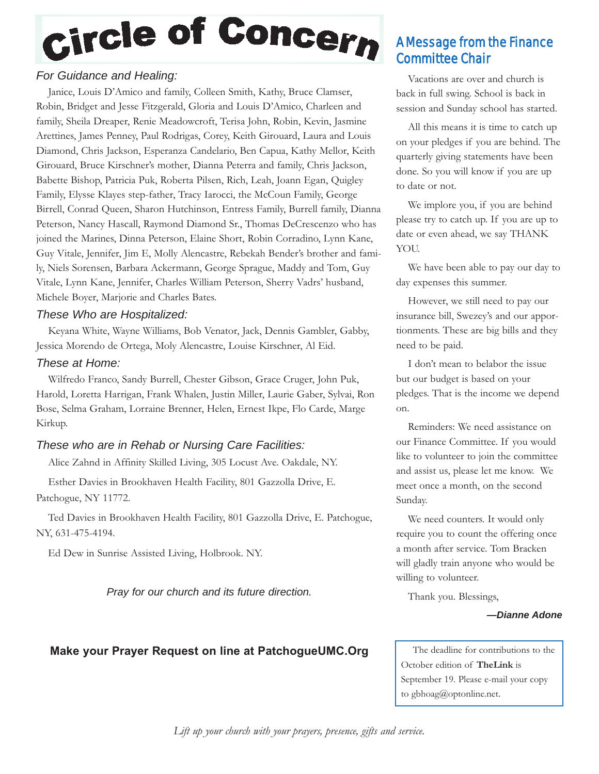# Circle of Concern

#### *For Guidance and Healing:*

Janice, Louis D'Amico and family, Colleen Smith, Kathy, Bruce Clamser, Robin, Bridget and Jesse Fitzgerald, Gloria and Louis D'Amico, Charleen and family, Sheila Dreaper, Renie Meadowcroft, Terisa John, Robin, Kevin, Jasmine Arettines, James Penney, Paul Rodrigas, Corey, Keith Girouard, Laura and Louis Diamond, Chris Jackson, Esperanza Candelario, Ben Capua, Kathy Mellor, Keith Girouard, Bruce Kirschner's mother, Dianna Peterra and family, Chris Jackson, Babette Bishop, Patricia Puk, Roberta Pilsen, Rich, Leah, Joann Egan, Quigley Family, Elysse Klayes step-father, Tracy Iarocci, the McCoun Family, George Birrell, Conrad Queen, Sharon Hutchinson, Entress Family, Burrell family, Dianna Peterson, Nancy Hascall, Raymond Diamond Sr., Thomas DeCrescenzo who has joined the Marines, Dinna Peterson, Elaine Short, Robin Corradino, Lynn Kane, Guy Vitale, Jennifer, Jim E, Molly Alencastre, Rebekah Bender's brother and family, Niels Sorensen, Barbara Ackermann, George Sprague, Maddy and Tom, Guy Vitale, Lynn Kane, Jennifer, Charles William Peterson, Sherry Vadrs' husband, Michele Boyer, Marjorie and Charles Bates.

#### *These Who are Hospitalized:*

Keyana White, Wayne Williams, Bob Venator, Jack, Dennis Gambler, Gabby, Jessica Morendo de Ortega, Moly Alencastre, Louise Kirschner, Al Eid.

#### *These at Home:*

Wilfredo Franco, Sandy Burrell, Chester Gibson, Grace Cruger, John Puk, Harold, Loretta Harrigan, Frank Whalen, Justin Miller, Laurie Gaber, Sylvai, Ron Bose, Selma Graham, Lorraine Brenner, Helen, Ernest Ikpe, Flo Carde, Marge Kirkup.

#### *These who are in Rehab or Nursing Care Facilities:*

Alice Zahnd in Affinity Skilled Living, 305 Locust Ave. Oakdale, NY.

Esther Davies in Brookhaven Health Facility, 801 Gazzolla Drive, E. Patchogue, NY 11772.

Ted Davies in Brookhaven Health Facility, 801 Gazzolla Drive, E. Patchogue, NY, 631-475-4194.

Ed Dew in Sunrise Assisted Living, Holbrook. NY.

*Pray for our church and its future direction.*

### A Message from the Finance Committee Chair

Vacations are over and church is back in full swing. School is back in session and Sunday school has started.

All this means it is time to catch up on your pledges if you are behind. The quarterly giving statements have been done. So you will know if you are up to date or not.

We implore you, if you are behind please try to catch up. If you are up to date or even ahead, we say THANK YOU.

We have been able to pay our day to day expenses this summer.

However, we still need to pay our insurance bill, Swezey's and our apportionments. These are big bills and they need to be paid.

I don't mean to belabor the issue but our budget is based on your pledges. That is the income we depend on.

Reminders: We need assistance on our Finance Committee. If you would like to volunteer to join the committee and assist us, please let me know. We meet once a month, on the second Sunday.

We need counters. It would only require you to count the offering once a month after service. Tom Bracken will gladly train anyone who would be willing to volunteer.

Thank you. Blessings,

#### *—Dianne Adone*

#### **Make your Prayer Request on line at PatchogueUMC.Org** The deadline for contributions to the

October edition of **TheLink** is September 19. Please e-mail your copy to gbhoag@optonline.net.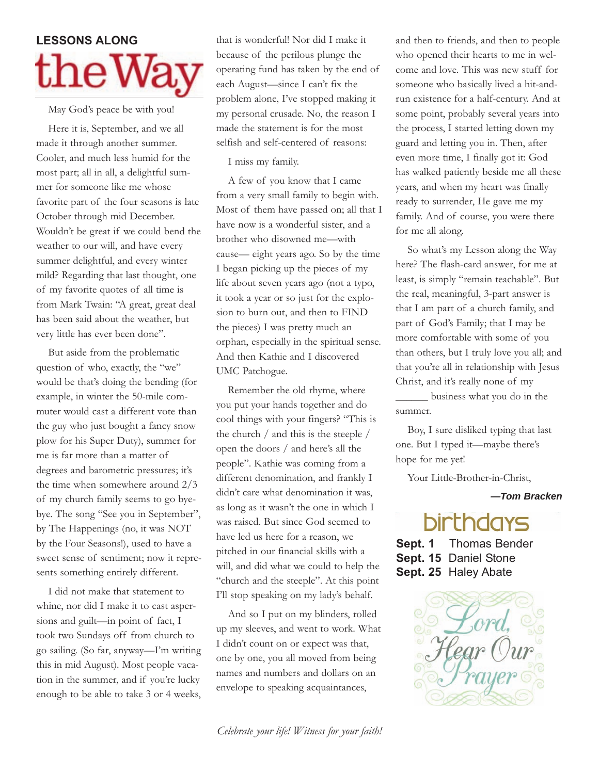# **LESSONS** ALONG  ${\rm theW}$

May God's peace be with you!

Here it is, September, and we all made it through another summer. Cooler, and much less humid for the most part; all in all, a delightful summer for someone like me whose favorite part of the four seasons is late October through mid December. Wouldn't be great if we could bend the weather to our will, and have every summer delightful, and every winter mild? Regarding that last thought, one of my favorite quotes of all time is from Mark Twain: "A great, great deal has been said about the weather, but very little has ever been done".

But aside from the problematic question of who, exactly, the "we" would be that's doing the bending (for example, in winter the 50-mile commuter would cast a different vote than the guy who just bought a fancy snow plow for his Super Duty), summer for me is far more than a matter of degrees and barometric pressures; it's the time when somewhere around 2/3 of my church family seems to go byebye. The song "See you in September", by The Happenings (no, it was NOT by the Four Seasons!), used to have a sweet sense of sentiment; now it represents something entirely different.

I did not make that statement to whine, nor did I make it to cast aspersions and guilt—in point of fact, I took two Sundays off from church to go sailing. (So far, anyway—I'm writing this in mid August). Most people vacation in the summer, and if you're lucky enough to be able to take 3 or 4 weeks,

that is wonderful! Nor did I make it because of the perilous plunge the operating fund has taken by the end of each August—since I can't fix the problem alone, I've stopped making it my personal crusade. No, the reason I made the statement is for the most selfish and self-centered of reasons:

I miss my family.

A few of you know that I came from a very small family to begin with. Most of them have passed on; all that I have now is a wonderful sister, and a brother who disowned me—with cause— eight years ago. So by the time I began picking up the pieces of my life about seven years ago (not a typo, it took a year or so just for the explosion to burn out, and then to FIND the pieces) I was pretty much an orphan, especially in the spiritual sense. And then Kathie and I discovered UMC Patchogue.

Remember the old rhyme, where you put your hands together and do cool things with your fingers? "This is the church / and this is the steeple / open the doors / and here's all the people". Kathie was coming from a different denomination, and frankly I didn't care what denomination it was, as long as it wasn't the one in which I was raised. But since God seemed to have led us here for a reason, we pitched in our financial skills with a will, and did what we could to help the "church and the steeple". At this point I'll stop speaking on my lady's behalf.

And so I put on my blinders, rolled up my sleeves, and went to work. What I didn't count on or expect was that, one by one, you all moved from being names and numbers and dollars on an envelope to speaking acquaintances,

and then to friends, and then to people who opened their hearts to me in welcome and love. This was new stuff for someone who basically lived a hit-andrun existence for a half-century. And at some point, probably several years into the process, I started letting down my guard and letting you in. Then, after even more time, I finally got it: God has walked patiently beside me all these years, and when my heart was finally ready to surrender, He gave me my family. And of course, you were there for me all along.

So what's my Lesson along the Way here? The flash-card answer, for me at least, is simply "remain teachable". But the real, meaningful, 3-part answer is that I am part of a church family, and part of God's Family; that I may be more comfortable with some of you than others, but I truly love you all; and that you're all in relationship with Jesus Christ, and it's really none of my \_\_\_\_\_\_ business what you do in the summer.

Boy, I sure disliked typing that last one. But I typed it—maybe there's hope for me yet!

Your Little-Brother-in-Christ,

*—Tom Bracken*

### **birthdays**

**Sept. 1** Thomas Bender **Sept. 15** Daniel Stone **Sept. 25** Haley Abate

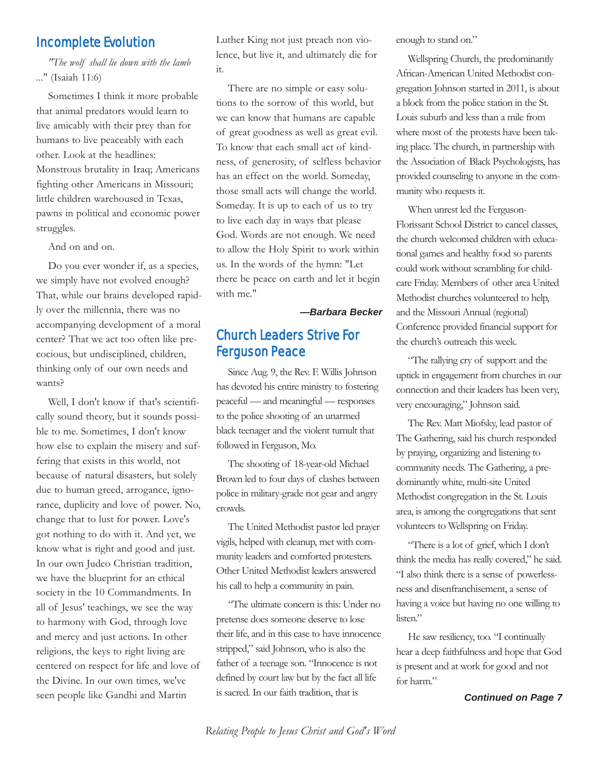#### Incomplete Evolution

*"The wolf shall lie down with the lamb ...*" (Isaiah 11:6)

Sometimes I think it more probable that animal predators would learn to live amicably with their prey than for humans to live peaceably with each other. Look at the headlines: Monstrous brutality in Iraq; Americans fighting other Americans in Missouri; little children warehoused in Texas, pawns in political and economic power struggles.

And on and on.

Do you ever wonder if, as a species, we simply have not evolved enough? That, while our brains developed rapidly over the millennia, there was no accompanying development of a moral center? That we act too often like precocious, but undisciplined, children, thinking only of our own needs and wants?

Well, I don't know if that's scientifically sound theory, but it sounds possible to me. Sometimes, I don't know how else to explain the misery and suffering that exists in this world, not because of natural disasters, but solely due to human greed, arrogance, ignorance, duplicity and love of power. No, change that to lust for power. Love's got nothing to do with it. And yet, we know what is right and good and just. In our own Judeo Christian tradition, we have the blueprint for an ethical society in the 10 Commandments. In all of Jesus' teachings, we see the way to harmony with God, through love and mercy and just actions. In other religions, the keys to right living are centered on respect for life and love of the Divine. In our own times, we've seen people like Gandhi and Martin

Luther King not just preach non violence, but live it, and ultimately die for it.

There are no simple or easy solutions to the sorrow of this world, but we can know that humans are capable of great goodness as well as great evil. To know that each small act of kindness, of generosity, of selfless behavior has an effect on the world. Someday, those small acts will change the world. Someday. It is up to each of us to try to live each day in ways that please God. Words are not enough. We need to allow the Holy Spirit to work within us. In the words of the hymn: "Let there be peace on earth and let it begin with me."

*—Barbara Becker*

#### Church Leaders Strive For Ferguson Peace

Since Aug. 9, the Rev. F. Willis Johnson has devoted his entire ministry to fostering peaceful — and meaningful — responses to the police shooting of an unarmed black teenager and the violent tumult that followed in Ferguson, Mo.

The shooting of 18-year-old Michael Brown led to four days of clashes between police in military-grade riot gear and angry crowds.

The United Methodist pastor led prayer vigils, helped with cleanup, met with community leaders and comforted protesters. Other United Methodist leaders answered his call to help a community in pain.

"The ultimate concern is this: Under no pretense does someone deserve to lose their life, and in this case to have innocence stripped," said Johnson, who is also the father of a teenage son. "Innocence is not defined by court law but by the fact all life is sacred. In our faith tradition, that is *Continued on Page 7*

enough to stand on."

Wellspring Church, the predominantly African-American United Methodist congregation Johnson started in 2011, is about a block from the police station in the St. Louis suburb and less than a mile from where most of the protests have been taking place. The church, in partnership with the Association of Black Psychologists, has provided counseling to anyone in the community who requests it.

When unrest led the Ferguson-Florissant School District to cancel classes, the church welcomed children with educational games and healthy food so parents could work without scrambling for childcare Friday. Members of other area United Methodist churches volunteered to help, and the Missouri Annual (regional) Conference provided financial support for the church's outreach this week.

"The rallying cry of support and the uptick in engagement from churches in our connection and their leaders has been very, very encouraging," Johnson said.

The Rev. Matt Miofsky, lead pastor of The Gathering, said his church responded by praying, organizing and listening to community needs. The Gathering, a predominantly white, multi-site United Methodist congregation in the St. Louis area, is among the congregations that sent volunteers to Wellspring on Friday.

"There is a lot of grief, which I don't think the media has really covered," he said. "I also think there is a sense of powerlessness and disenfranchisement, a sense of having a voice but having no one willing to listen."

He saw resiliency, too. "I continually hear a deep faithfulness and hope that God is present and at work for good and not for harm."

*Relating People to Jesus Christ and God's Word*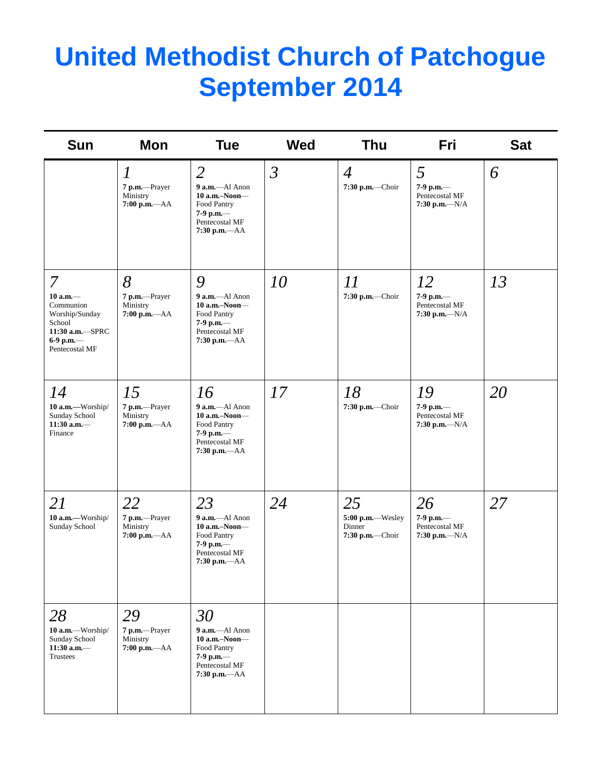## **United Methodist Church of Patchogue September 2014**

| <b>Sun</b>                                                                                                       | Mon                                                              | <b>Tue</b>                                                                                                        | <b>Wed</b>     | <b>Thu</b>                                           | Fri                                                         | <b>Sat</b> |
|------------------------------------------------------------------------------------------------------------------|------------------------------------------------------------------|-------------------------------------------------------------------------------------------------------------------|----------------|------------------------------------------------------|-------------------------------------------------------------|------------|
|                                                                                                                  | $\boldsymbol{l}$<br>7 p.m.-Prayer<br>Ministry<br>$7:00 p.m. -AA$ | $\overline{2}$<br>9 a.m.-Al Anon<br>$10$ a.m.-Noon-<br>Food Pantry<br>7-9 p.m.-<br>Pentecostal MF<br>7:30 p.m.-AA | $\mathfrak{Z}$ | $\overline{4}$<br>7:30 p.m.-Choir                    | 5<br>7-9 p.m.-<br>Pentecostal MF<br>$7:30$ p.m.- $-N/A$     | 6          |
| 7<br>$10$ a.m. $-$<br>Communion<br>Worship/Sunday<br>School<br>11:30 a.m.-SPRC<br>6-9 p.m. $-$<br>Pentecostal MF | 8<br>7 p.m.-Prayer<br>Ministry<br>$7:00$ p.m.— $AA$              | 9<br>9 a.m.-Al Anon<br>$10$ a.m.-Noon-<br>Food Pantry<br>7-9 p.m.-<br>Pentecostal MF<br>7:30 p.m.-AA              | 10             | 11<br>7:30 p.m.-Choir                                | 12<br>7-9 p.m.-<br>Pentecostal MF<br>7:30 p.m.— $N/A$       | 13         |
| 14<br>10 a.m.-Worship/<br>Sunday School<br>$11:30$ a.m.-<br>Finance                                              | 15<br>7 p.m.-Prayer<br>Ministry<br>7:00 p.m.-AA                  | 16<br>9 a.m.-Al Anon<br>$10$ a.m.-Noon-<br>Food Pantry<br>7-9 p.m.-<br>Pentecostal MF<br>7:30 p.m.-AA             | 17             | 18<br>7:30 p.m.-Choir                                | 19<br>7-9 p.m. $-$<br>Pentecostal MF<br>$7:30$ p.m.- $-N/A$ | 20         |
| 21<br>10 a.m.-Worship/<br>Sunday School                                                                          | 22<br>7 p.m.-Prayer<br>Ministry<br>$7:00$ p.m.- $AA$             | 23<br>9 a.m.-Al Anon<br>10 a.m.-Noon-<br>Food Pantry<br>7-9 p.m.-<br>Pentecostal MF<br>$7:30$ p.m.- $AA$          | 24             | 25<br>5:00 p.m.--Wesley<br>Dinner<br>7:30 p.m.-Choir | 26<br>7-9 p.m.-<br>Pentecostal MF<br>7:30 p.m.— $N/A$       | 27         |
| 28<br>10 a.m.-Worship/<br>Sunday School<br>11:30 a.m. $-$<br>Trustees                                            | 29<br>7 p.m.-Prayer<br>Ministry<br>$7:00$ p.m.— $AA$             | 30<br>$9$ a.m.-Al Anon<br>$10$ a.m.–Noon–<br>Food Pantry<br>7-9 p.m.-<br>Pentecostal MF<br>$7:30$ p.m.- $AA$      |                |                                                      |                                                             |            |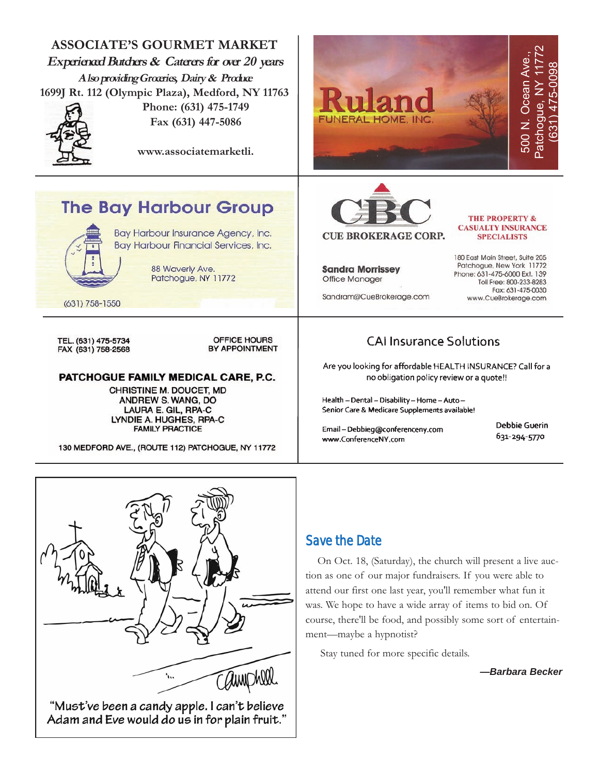



#### Save the Date

On Oct. 18, (Saturday), the church will present a live auction as one of our major fundraisers. If you were able to attend our first one last year, you'll remember what fun it was. We hope to have a wide array of items to bid on. Of course, there'll be food, and possibly some sort of entertainment—maybe a hypnotist?

Stay tuned for more specific details.

*—Barbara Becker*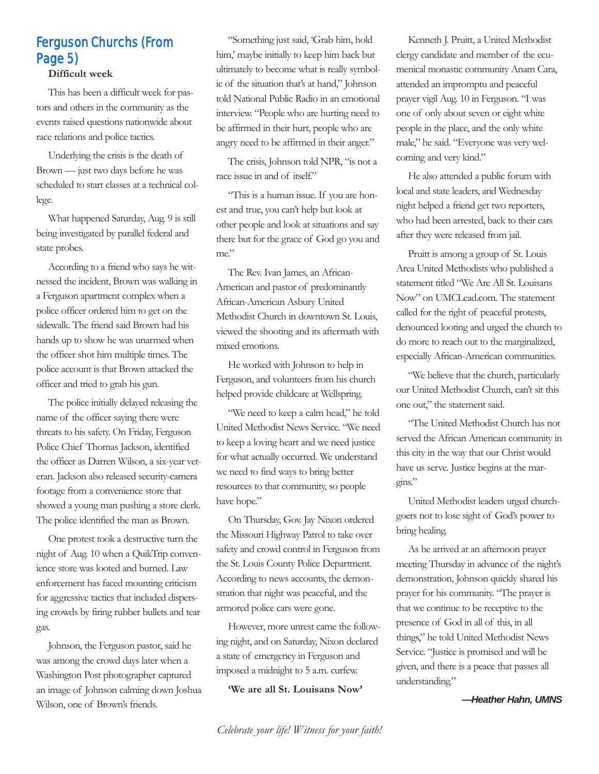### Ferguson Churchs (From Page 5)

#### **Difficult week**

This has been a difficult week for pastors and others in the community as the events raised questions nationwide about race relations and police tactics.

Underlying the crisis is the death of Brown — just two days before he was scheduled to start classes at a technical college.

What happened Saturday, Aug. 9 is still being investigated by parallel federal and state probes.

According to a friend who says he witnessed the incident, Brown was walking in a Ferguson apartment complex when a police officer ordered him to get on the sidewalk. The friend said Brown had his hands up to show he was unarmed when the officer shot him multiple times. The police account is that Brown attacked the officer and tried to grab his gun.

The police initially delayed releasing the name of the officer saying there were threats to his safety. On Friday, Ferguson Police Chief Thomas Jackson, identified the officer as Darren Wilson, a six-year veteran. Jackson also released security-camera footage from a convenience store that showed a young man pushing a store clerk. The police identified the man as Brown.

One protest took a destructive turn the night of Aug. 10 when a QuikTrip convenience store was looted and burned. Law enforcement has faced mounting criticism for aggressive tactics that included dispersing crowds by firing rubber bullets and tear gas.

Johnson, the Ferguson pastor, said he was among the crowd days later when a Washington Post photographer captured an image of Johnson calming down Joshua Wilson, one of Brown's friends.

"Something just said, 'Grab him, hold him,' maybe initially to keep him back but ultimately to become what is really symbolic of the situation that's at hand," Johnson told National Public Radio in an emotional interview. "People who are hurting need to be affirmed in their hurt, people who are angry need to be affirmed in their anger."

The crisis, Johnson told NPR, "is not a race issue in and of itself."

"This is a human issue. If you are honest and true, you can't help but look at other people and look at situations and say there but for the grace of God go you and me."

The Rev. Ivan James, an African-American and pastor of predominantly African-American Asbury United Methodist Church in downtown St. Louis, viewed the shooting and its aftermath with mixed emotions.

He worked with Johnson to help in Ferguson, and volunteers from his church helped provide childcare at Wellspring.

"We need to keep a calm head," he told United Methodist News Service. "We need to keep a loving heart and we need justice for what actually occurred. We understand we need to find ways to bring better resources to that community, so people have hope."

On Thursday, Gov. Jay Nixon ordered the Missouri Highway Patrol to take over safety and crowd control in Ferguson from the St. Louis County Police Department. According to news accounts, the demonstration that night was peaceful, and the armored police cars were gone.

However, more unrest came the following night, and on Saturday, Nixon declared a state of emergency in Ferguson and imposed a midnight to 5 a.m. curfew.

**'We are all St. Louisans Now'**

Kenneth J. Pruitt, a United Methodist clergy candidate and member of the ecumenical monastic community Anam Cara, attended an impromptu and peaceful prayer vigil Aug. 10 in Ferguson. "I was one of only about seven or eight white people in the place, and the only white male," he said. "Everyone was very welcoming and very kind."

He also attended a public forum with local and state leaders, and Wednesday night helped a friend get two reporters, who had been arrested, back to their cars after they were released from jail.

Pruitt is among a group of St. Louis Area United Methodists who published a statement titled "We Are All St. Louisans Now" on UMCLead.com. The statement called for the right of peaceful protests, denounced looting and urged the church to do more to reach out to the marginalized, especially African-American communities.

"We believe that the church, particularly our United Methodist Church, can't sit this one out," the statement said.

"The United Methodist Church has not served the African American community in this city in the way that our Christ would have us serve. Justice begins at the margins."

United Methodist leaders urged churchgoers not to lose sight of God's power to bring healing.

As he arrived at an afternoon prayer meeting Thursday in advance of the night's demonstration, Johnson quickly shared his prayer for his community. "The prayer is that we continue to be receptive to the presence of God in all of this, in all things," he told United Methodist News Service. "Justice is promised and will be given, and there is a peace that passes all understanding."

*—Heather Hahn, UMNS*